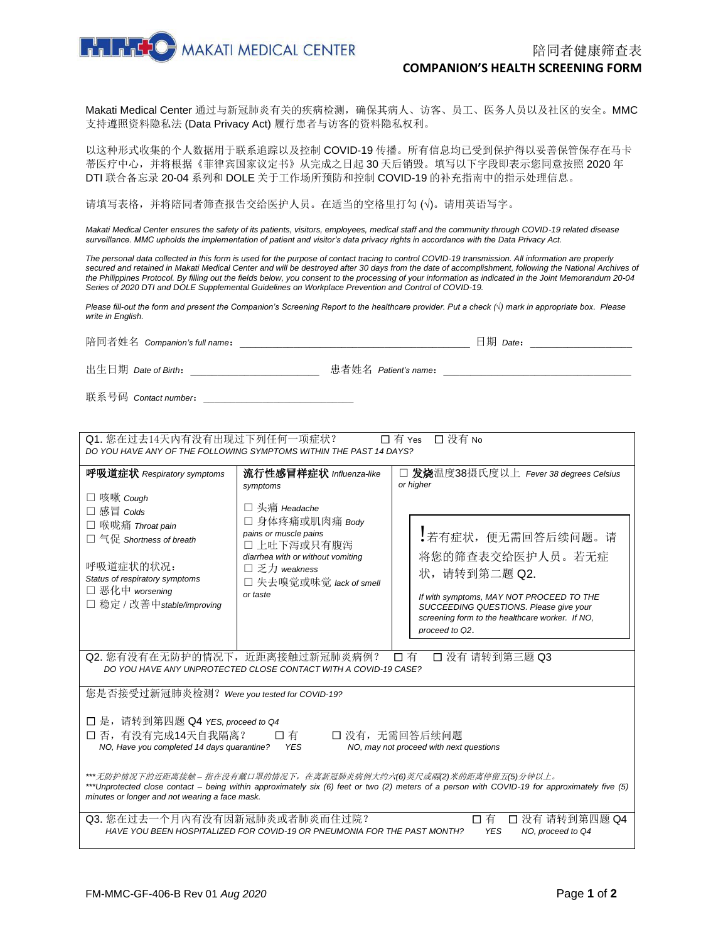

Makati Medical Center 通过与新冠肺炎有关的疾病检测,确保其病人、访客、员工、医务人员以及社区的安全。MMC 支持遵照资料隐私法 (Data Privacy Act) 履行患者与访客的资料隐私权利。

以这种形式收集的个人数据用于联系追踪以及控制 COVID-19 传播。所有信息均已受到保护得以妥善保管保存在马卡 蒂医疗中心,并将根据《菲律宾国家议定书》从完成之日起 30 天后销毁。填写以下字段即表示您同意按照 2020 年 DTI 联合备忘录 20-04 系列和 DOLE 关于工作场所预防和控制 COVID-19 的补充指南中的指示处理信息。

请填写表格,并将陪同者筛查报告交给医护人员。在适当的空格里打勾 (√)。请用英语写字。

*Makati Medical Center ensures the safety of its patients, visitors, employees, medical staff and the community through COVID-19 related disease surveillance. MMC upholds the implementation of patient and visitor's data privacy rights in accordance with the Data Privacy Act.* 

*The personal data collected in this form is used for the purpose of contact tracing to control COVID-19 transmission. All information are properly*  secured and retained in Makati Medical Center and will be destroyed after 30 days from the date of accomplishment, following the National Archives of *the Philippines Protocol. By filling out the fields below, you consent to the processing of your information as indicated in the Joint Memorandum 20-04 Series of 2020 DTI and DOLE Supplemental Guidelines on Workplace Prevention and Control of COVID-19.*

*Please fill-out the form and present the Companion's Screening Report to the healthcare provider. Put a check (√) mark in appropriate box. Please write in English.*

陪同者姓名 *Companion's full name*: 日期 *Date*: 出生日期 *Date of Birth*: 患者姓名 *Patient's name*:

联系号码 *Contact number*: \_\_\_\_\_\_\_\_

| Q1. 您在过去14天内有没有出现过下列任何一项症状?<br>□ 没有 No<br>□ 有 Yes<br>DO YOU HAVE ANY OF THE FOLLOWING SYMPTOMS WITHIN THE PAST 14 DAYS?                                                                                                                                                                                      |                                                                                                                                                                                                             |                                                                                                                                                                                                                                                                          |  |
|--------------------------------------------------------------------------------------------------------------------------------------------------------------------------------------------------------------------------------------------------------------------------------------------------------------|-------------------------------------------------------------------------------------------------------------------------------------------------------------------------------------------------------------|--------------------------------------------------------------------------------------------------------------------------------------------------------------------------------------------------------------------------------------------------------------------------|--|
| 呼吸道症状 Respiratory symptoms<br>□ 咳嗽 Cough<br>□ 感冒 Colds<br>□ 喉咙痛 Throat pain<br>$\Box$ 气促 Shortness of breath<br>呼吸道症状的状况:<br>Status of respiratory symptoms<br>□ 恶化中 worsening<br>□ 稳定 / 改善中 stable/improving                                                                                                | 流行性感冒样症状 Influenza-like<br>symptoms<br>□ 头痛 Headache<br>□ 身体疼痛或肌肉痛 Body<br>pains or muscle pains<br>□ 上吐下泻或只有腹泻<br>diarrhea with or without vomiting<br>□乏力 weakness<br>□ 失去嗅觉或味觉 lack of smell<br>or taste | □ 发烧温度38摄氏度以上 Fever 38 degrees Celsius<br>or higher<br>,若有症状, 便无需回答后续问题。请<br>将您的筛查表交给医护人员。若无症<br>状,请转到第二题 Q2.<br>If with symptoms, MAY NOT PROCEED TO THE<br>SUCCEEDING QUESTIONS. Please give your<br>screening form to the healthcare worker. If NO,<br>proceed to Q2. |  |
| Q2. 您有没有在无防护的情况下, 近距离接触过新冠肺炎病例?<br>□ 没有 请转到第三题 Q3<br>口有<br>DO YOU HAVE ANY UNPROTECTED CLOSE CONTACT WITH A COVID-19 CASE?                                                                                                                                                                                   |                                                                                                                                                                                                             |                                                                                                                                                                                                                                                                          |  |
| 您是否接受过新冠肺炎检测? Were you tested for COVID-19?<br>□ 是, 请转到第四题 Q4 YES, proceed to Q4<br>□ 否, 有没有完成14天自我隔离?<br>□ 没有, 无需回答后续问题<br>□ 有<br>NO, Have you completed 14 days quarantine?<br><b>YES</b><br>NO, may not proceed with next questions<br>***无防护情况下的近距离接触 – 指在没有戴口罩的情况下,在离新冠肺炎病例大约六(6)英尺或兩(2)米的距离停留五(5)分钟以上。 |                                                                                                                                                                                                             |                                                                                                                                                                                                                                                                          |  |
| ***Unprotected close contact – being within approximately six (6) feet or two (2) meters of a person with COVID-19 for approximately five (5)<br>minutes or longer and not wearing a face mask.                                                                                                              |                                                                                                                                                                                                             |                                                                                                                                                                                                                                                                          |  |
| Q3. 您在过去一个月内有没有因新冠肺炎或者肺炎而住过院?<br>□ 没有 请转到第四题 Q4<br>口有<br>HAVE YOU BEEN HOSPITALIZED FOR COVID-19 OR PNEUMONIA FOR THE PAST MONTH?<br><b>YES</b><br>NO, proceed to Q4                                                                                                                                         |                                                                                                                                                                                                             |                                                                                                                                                                                                                                                                          |  |